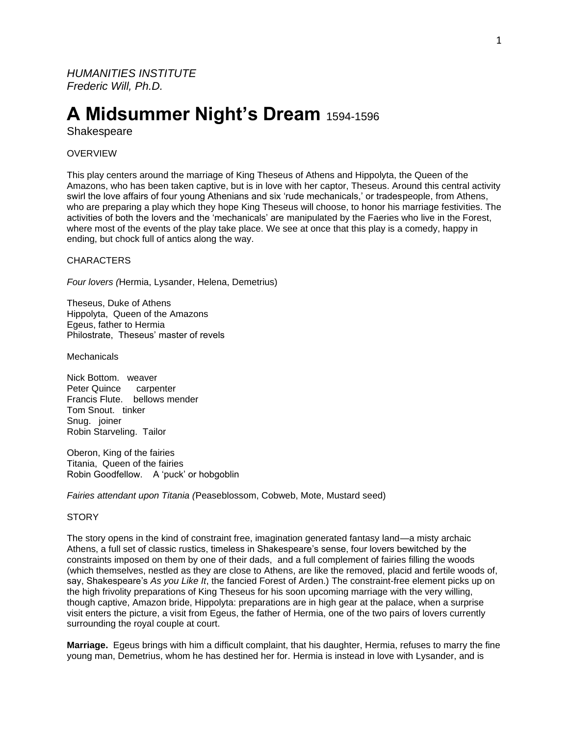*HUMANITIES INSTITUTE Frederic Will, Ph.D.*

# **A Midsummer Night's Dream** 1594-1596

**Shakespeare** 

## **OVERVIEW**

This play centers around the marriage of King Theseus of Athens and Hippolyta, the Queen of the Amazons, who has been taken captive, but is in love with her captor, Theseus. Around this central activity swirl the love affairs of four young Athenians and six 'rude mechanicals,' or tradespeople, from Athens, who are preparing a play which they hope King Theseus will choose, to honor his marriage festivities. The activities of both the lovers and the 'mechanicals' are manipulated by the Faeries who live in the Forest, where most of the events of the play take place. We see at once that this play is a comedy, happy in ending, but chock full of antics along the way.

**CHARACTERS** 

*Four lovers (*Hermia, Lysander, Helena, Demetrius)

Theseus, Duke of Athens Hippolyta, Queen of the Amazons Egeus, father to Hermia Philostrate, Theseus' master of revels

**Mechanicals** 

Nick Bottom. weaver Peter Quince carpenter Francis Flute. bellows mender Tom Snout. tinker Snug. joiner Robin Starveling. Tailor

Oberon, King of the fairies Titania, Queen of the fairies Robin Goodfellow. A 'puck' or hobgoblin

*Fairies attendant upon Titania (*Peaseblossom, Cobweb, Mote, Mustard seed)

## **STORY**

The story opens in the kind of constraint free, imagination generated fantasy land—a misty archaic Athens, a full set of classic rustics, timeless in Shakespeare's sense, four lovers bewitched by the constraints imposed on them by one of their dads, and a full complement of fairies filling the woods (which themselves, nestled as they are close to Athens, are like the removed, placid and fertile woods of, say, Shakespeare's *As you Like It*, the fancied Forest of Arden.) The constraint-free element picks up on the high frivolity preparations of King Theseus for his soon upcoming marriage with the very willing, though captive, Amazon bride, Hippolyta: preparations are in high gear at the palace, when a surprise visit enters the picture, a visit from Egeus, the father of Hermia, one of the two pairs of lovers currently surrounding the royal couple at court.

**Marriage.** Egeus brings with him a difficult complaint, that his daughter, Hermia, refuses to marry the fine young man, Demetrius, whom he has destined her for. Hermia is instead in love with Lysander, and is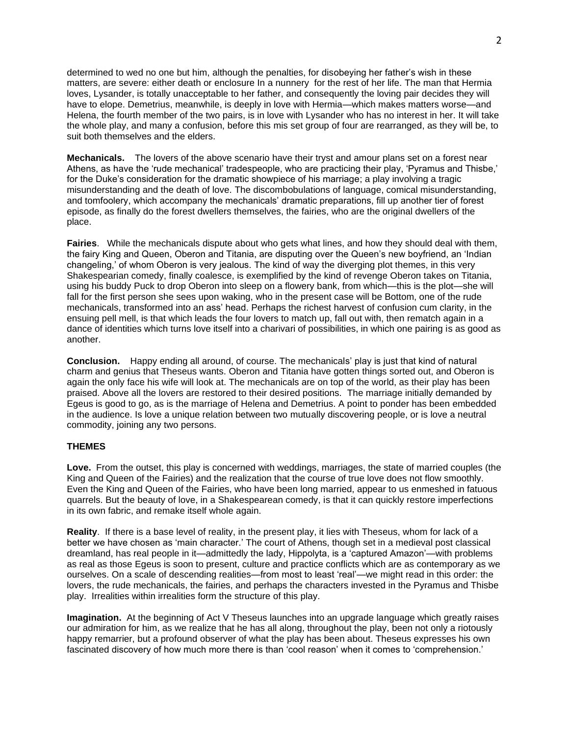determined to wed no one but him, although the penalties, for disobeying her father's wish in these matters, are severe: either death or enclosure In a nunnery for the rest of her life. The man that Hermia loves, Lysander, is totally unacceptable to her father, and consequently the loving pair decides they will have to elope. Demetrius, meanwhile, is deeply in love with Hermia—which makes matters worse—and Helena, the fourth member of the two pairs, is in love with Lysander who has no interest in her. It will take the whole play, and many a confusion, before this mis set group of four are rearranged, as they will be, to suit both themselves and the elders.

**Mechanicals.** The lovers of the above scenario have their tryst and amour plans set on a forest near Athens, as have the 'rude mechanical' tradespeople, who are practicing their play, 'Pyramus and Thisbe,' for the Duke's consideration for the dramatic showpiece of his marriage; a play involving a tragic misunderstanding and the death of love. The discombobulations of language, comical misunderstanding, and tomfoolery, which accompany the mechanicals' dramatic preparations, fill up another tier of forest episode, as finally do the forest dwellers themselves, the fairies, who are the original dwellers of the place.

**Fairies**. While the mechanicals dispute about who gets what lines, and how they should deal with them, the fairy King and Queen, Oberon and Titania, are disputing over the Queen's new boyfriend, an 'Indian changeling,' of whom Oberon is very jealous. The kind of way the diverging plot themes, in this very Shakespearian comedy, finally coalesce, is exemplified by the kind of revenge Oberon takes on Titania, using his buddy Puck to drop Oberon into sleep on a flowery bank, from which—this is the plot—she will fall for the first person she sees upon waking, who in the present case will be Bottom, one of the rude mechanicals, transformed into an ass' head. Perhaps the richest harvest of confusion cum clarity, in the ensuing pell mell, is that which leads the four lovers to match up, fall out with, then rematch again in a dance of identities which turns love itself into a charivari of possibilities, in which one pairing is as good as another.

**Conclusion.** Happy ending all around, of course. The mechanicals' play is just that kind of natural charm and genius that Theseus wants. Oberon and Titania have gotten things sorted out, and Oberon is again the only face his wife will look at. The mechanicals are on top of the world, as their play has been praised. Above all the lovers are restored to their desired positions. The marriage initially demanded by Egeus is good to go, as is the marriage of Helena and Demetrius. A point to ponder has been embedded in the audience. Is love a unique relation between two mutually discovering people, or is love a neutral commodity, joining any two persons.

## **THEMES**

**Love.** From the outset, this play is concerned with weddings, marriages, the state of married couples (the King and Queen of the Fairies) and the realization that the course of true love does not flow smoothly. Even the King and Queen of the Fairies, who have been long married, appear to us enmeshed in fatuous quarrels. But the beauty of love, in a Shakespearean comedy, is that it can quickly restore imperfections in its own fabric, and remake itself whole again.

**Reality**. If there is a base level of reality, in the present play, it lies with Theseus, whom for lack of a better we have chosen as 'main character.' The court of Athens, though set in a medieval post classical dreamland, has real people in it—admittedly the lady, Hippolyta, is a 'captured Amazon'—with problems as real as those Egeus is soon to present, culture and practice conflicts which are as contemporary as we ourselves. On a scale of descending realities—from most to least 'real'—we might read in this order: the lovers, the rude mechanicals, the fairies, and perhaps the characters invested in the Pyramus and Thisbe play. Irrealities within irrealities form the structure of this play.

**Imagination.** At the beginning of Act V Theseus launches into an upgrade language which greatly raises our admiration for him, as we realize that he has all along, throughout the play, been not only a riotously happy remarrier, but a profound observer of what the play has been about. Theseus expresses his own fascinated discovery of how much more there is than 'cool reason' when it comes to 'comprehension.'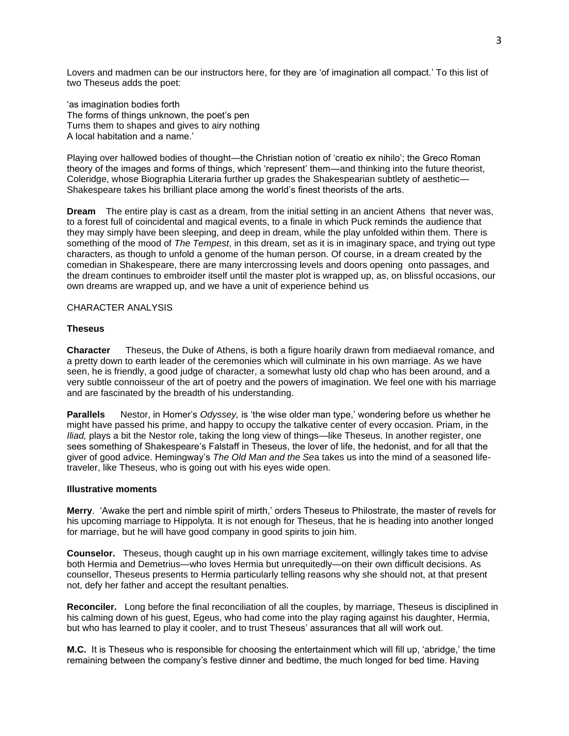Lovers and madmen can be our instructors here, for they are 'of imagination all compact.' To this list of two Theseus adds the poet:

'as imagination bodies forth The forms of things unknown, the poet's pen Turns them to shapes and gives to airy nothing A local habitation and a name.'

Playing over hallowed bodies of thought—the Christian notion of 'creatio ex nihilo'; the Greco Roman theory of the images and forms of things, which 'represent' them—and thinking into the future theorist, Coleridge, whose Biographia Literaria further up grades the Shakespearian subtlety of aesthetic— Shakespeare takes his brilliant place among the world's finest theorists of the arts.

**Dream** The entire play is cast as a dream, from the initial setting in an ancient Athens that never was, to a forest full of coincidental and magical events, to a finale in which Puck reminds the audience that they may simply have been sleeping, and deep in dream, while the play unfolded within them. There is something of the mood of *The Tempest*, in this dream, set as it is in imaginary space, and trying out type characters, as though to unfold a genome of the human person. Of course, in a dream created by the comedian in Shakespeare, there are many intercrossing levels and doors opening onto passages, and the dream continues to embroider itself until the master plot is wrapped up, as, on blissful occasions, our own dreams are wrapped up, and we have a unit of experience behind us

#### CHARACTER ANALYSIS

#### **Theseus**

**Character** Theseus, the Duke of Athens, is both a figure hoarily drawn from mediaeval romance, and a pretty down to earth leader of the ceremonies which will culminate in his own marriage. As we have seen, he is friendly, a good judge of character, a somewhat lusty old chap who has been around, and a very subtle connoisseur of the art of poetry and the powers of imagination. We feel one with his marriage and are fascinated by the breadth of his understanding.

**Parallels** Nestor, in Homer's *Odyssey,* is 'the wise older man type,' wondering before us whether he might have passed his prime, and happy to occupy the talkative center of every occasion. Priam, in the *Iliad,* plays a bit the Nestor role, taking the long view of things—like Theseus. In another register, one sees something of Shakespeare's Falstaff in Theseus, the lover of life, the hedonist, and for all that the giver of good advice. Hemingway's *The Old Man and the Se*a takes us into the mind of a seasoned lifetraveler, like Theseus, who is going out with his eyes wide open.

## **Illustrative moments**

**Merry**. 'Awake the pert and nimble spirit of mirth,' orders Theseus to Philostrate, the master of revels for his upcoming marriage to Hippolyta. It is not enough for Theseus, that he is heading into another longed for marriage, but he will have good company in good spirits to join him.

**Counselor.** Theseus, though caught up in his own marriage excitement, willingly takes time to advise both Hermia and Demetrius—who loves Hermia but unrequitedly—on their own difficult decisions. As counsellor, Theseus presents to Hermia particularly telling reasons why she should not, at that present not, defy her father and accept the resultant penalties.

**Reconciler.** Long before the final reconciliation of all the couples, by marriage, Theseus is disciplined in his calming down of his guest, Egeus, who had come into the play raging against his daughter, Hermia, but who has learned to play it cooler, and to trust Theseus' assurances that all will work out.

**M.C.** It is Theseus who is responsible for choosing the entertainment which will fill up, 'abridge,' the time remaining between the company's festive dinner and bedtime, the much longed for bed time. Having